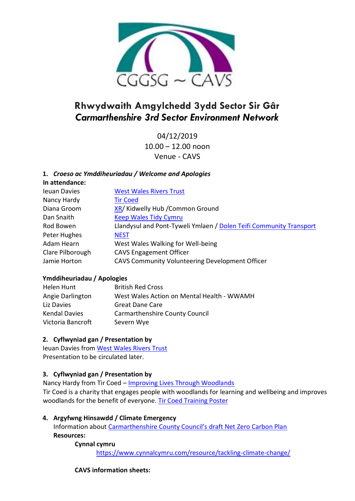

# **Rhwydwaith Amgylchedd 3ydd Sector Sir Gâr** *Carmarthenshire 3rd Sector Environment Network*

04/12/2019 10.00 – 12.00 noon Venue - CAVS

## **1.** *Croeso ac Ymddiheuriadau / Welcome and Apologies*

**In attendance:** Ieuan Davies **[West Wales Rivers Trust](https://westwalesriverstrust.org/)** Nancy Hardy **[Tir Coed](http://tircoed.org.uk/)** Diana Groom [XR/](https://rebellion.earth/) Kidwelly Hub / Common Ground Dan Snaith [Keep Wales Tidy](https://www.keepwalestidy.cymru/) Cymru Rod Bowen Llandysul and Pont-Tyweli Ymlaen / [Dolen Teifi Community Transport](http://www.dolenteifi.org.uk/) Peter Hughes [NEST](https://www.nest.gov.wales/en/) Adam Hearn West Wales Walking for Well-being Clare Pilborough CAVS Engagement Officer Jamie Horton CAVS Community Volunteering Development Officer

## **Ymddiheuriadau / Apologies**

| Helen Hunt           | <b>British Red Cross</b>                   |
|----------------------|--------------------------------------------|
| Angie Darlington     | West Wales Action on Mental Health - WWAMH |
| Liz Davies           | <b>Great Dane Care</b>                     |
| <b>Kendal Davies</b> | Carmarthenshire County Council             |
| Victoria Bancroft    | Severn Wye                                 |

## **2. Cyflwyniad gan / Presentation by**

Ieuan Davies from [West Wales Rivers Trust](https://westwalesriverstrust.org/) Presentation to be circulated later.

## **3. Cyflwyniad gan / Presentation by**

Nancy Hardy from Tir Coed – [Improving Lives Through Woodlands](http://www.cavs.org.uk/wp-content/uploads/2019/12/CAR.Carmarthenshire-Pilot-Presenation.pdf) Tir Coed is a charity that engages people with woodlands for learning and wellbeing and improves woodlands for the benefit of everyone. [Tir Coed Training Poster](http://www.cavs.org.uk/wp-content/uploads/2019/12/CAR.SWM-2020-Poster-Bilingual.19.11.25.pdf)

## **4. Argyfwng Hinsawdd / Climate Emergency**

Information about [Carmarthenshire County Council's draft Net Zero Carbon Plan](http://www.cavs.org.uk/wp-content/uploads/2019/12/Draft-Net-Zero-Carbon-Plan.pdf) **Resources:**

#### **Cynnal cymru**

<https://www.cynnalcymru.com/resource/tackling-climate-change/>

## **CAVS information sheets:**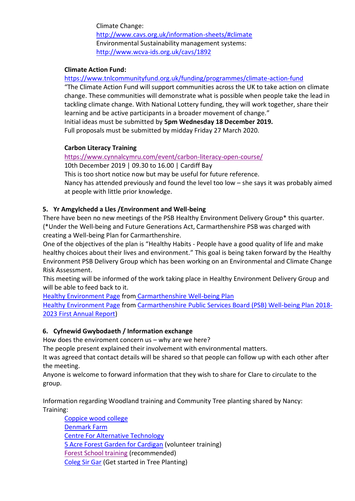Climate Change: <http://www.cavs.org.uk/information-sheets/#climate> Environmental Sustainability management systems: <http://www.wcva-ids.org.uk/cavs/1892>

#### **Climate Action Fund:**

<https://www.tnlcommunityfund.org.uk/funding/programmes/climate-action-fund>

"The Climate Action Fund will support communities across the UK to take action on climate change. These communities will demonstrate what is possible when people take the lead in tackling climate change. With National Lottery funding, they will work together, share their learning and be active participants in a broader movement of change." Initial ideas must be submitted by **5pm Wednesday 18 December 2019.**

Full proposals must be submitted by midday Friday 27 March 2020.

#### **Carbon Literacy Training**

<https://www.cynnalcymru.com/event/carbon-literacy-open-course/>

10th December 2019 | 09.30 to 16.00 | Cardiff Bay

This is too short notice now but may be useful for future reference.

Nancy has attended previously and found the level too low – she says it was probably aimed at people with little prior knowledge.

#### **5. Yr Amgylchedd a Lles /Environment and Well-being**

There have been no new meetings of the PSB Healthy Environment Delivery Group\* this quarter. (\*Under the Well-being and Future Generations Act, Carmarthenshire PSB was charged with creating a Well-being Plan for Carmarthenshire.

One of the objectives of the plan is "Healthy Habits ‐ People have a good quality of life and make healthy choices about their lives and environment." This goal is being taken forward by the Healthy Environment PSB Delivery Group which has been working on an Environmental and Climate Change Risk Assessment.

This meeting will be informed of the work taking place in Healthy Environment Delivery Group and will be able to feed back to it.

[Healthy Environment Page](http://www.cavs.org.uk/wp-content/uploads/2019/12/well-being-plan-environment-page.pdf) from [Carmarthenshire Well-being Plan](http://www.thecarmarthenshirewewant.wales/media/8331/carmarthenshire-well-being-plan-final-may-2018.pdf)

[Healthy Environment Page](http://www.cavs.org.uk/wp-content/uploads/2019/12/Annual-Report-Healthy-Envrionment-page.pdf) from [Carmarthenshire Public Services Board \(PSB\) Well-being Plan 2018-](http://www.thecarmarthenshirewewant.wales/media/8423/psb-annual-report-2019.pdf) [2023 First Annual Report\)](http://www.thecarmarthenshirewewant.wales/media/8423/psb-annual-report-2019.pdf)

## **6. Cyfnewid Gwybodaeth / Information exchange**

How does the enviroment concern us – why are we here?

The people present explained their involvement with environmental matters.

It was agreed that contact details will be shared so that people can follow up with each other after the meeting.

Anyone is welcome to forward information that they wish to share for Clare to circulate to the group.

Information regarding Woodland training and Community Tree planting shared by Nancy: Training:

[Coppice wood college](https://coppicewoodcollege.co.uk/) [Denmark Farm](https://www.denmarkfarm.org.uk/learn-with-us/conservation-courses/) [Centre For Alternative Technology](https://www.cat.org.uk/courses-and-training/short-courses/?date=2019-12-01&view=grid&type=All&category=All) [5 Acre Forest Garden for Cardigan](http://www.naturewise.org.uk/page.cfm?pageid=nw-cic) (volunteer training) [Forest School training](https://www.forestschoolsnpt.org.uk/training/) (recommended) [Coleg Sir Gar](https://www.colegsirgar.ac.uk/images/prospectus/pt_prospectus_june_19.pdf) (Get started in Tree Planting)